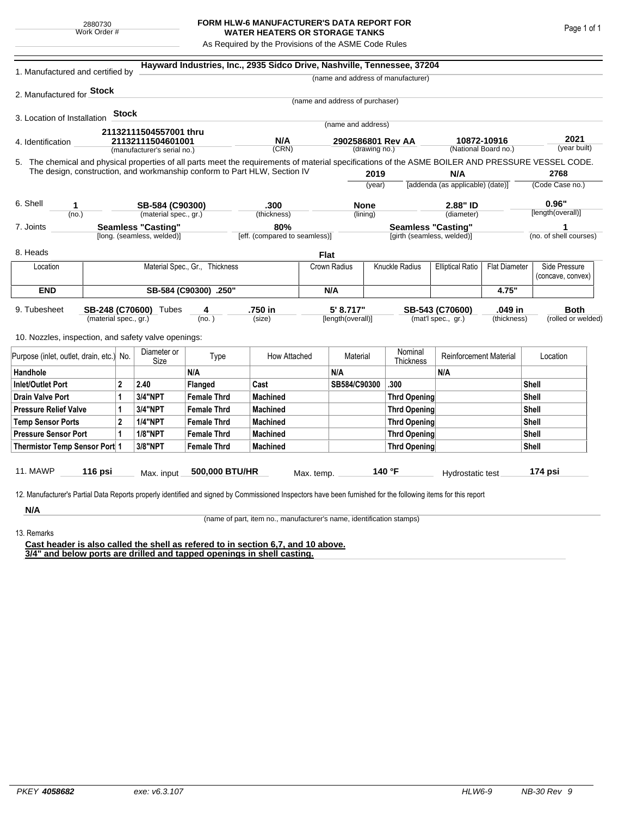## **FORM HLW-6 MANUFACTURER'S DATA REPORT FOR WATER HEATERS OR STORAGE TANKS**

As Required by the Provisions of the ASME Code Rules

| 1. Manufactured and certified by                                                                                                                                                                                                                              |                                |       |                                                  |                               | Hayward Industries, Inc., 2935 Sidco Drive, Nashville, Tennessee, 37204 |                           |                                    |      |                                    |                                                 |                   |                        |                                    |  |
|---------------------------------------------------------------------------------------------------------------------------------------------------------------------------------------------------------------------------------------------------------------|--------------------------------|-------|--------------------------------------------------|-------------------------------|-------------------------------------------------------------------------|---------------------------|------------------------------------|------|------------------------------------|-------------------------------------------------|-------------------|------------------------|------------------------------------|--|
|                                                                                                                                                                                                                                                               |                                |       |                                                  |                               |                                                                         |                           |                                    |      | (name and address of manufacturer) |                                                 |                   |                        |                                    |  |
| 2. Manufactured for Stock                                                                                                                                                                                                                                     |                                |       |                                                  |                               |                                                                         |                           |                                    |      |                                    |                                                 |                   |                        |                                    |  |
|                                                                                                                                                                                                                                                               |                                |       |                                                  |                               |                                                                         |                           | (name and address of purchaser)    |      |                                    |                                                 |                   |                        |                                    |  |
| 3. Location of Installation                                                                                                                                                                                                                                   |                                | Stock |                                                  |                               |                                                                         |                           |                                    |      |                                    |                                                 |                   |                        |                                    |  |
|                                                                                                                                                                                                                                                               |                                |       | 21132111504557001 thru                           |                               |                                                                         |                           | (name and address)                 |      |                                    |                                                 |                   |                        |                                    |  |
| 4. Identification                                                                                                                                                                                                                                             |                                |       | 21132111504601001<br>(manufacturer's serial no.) |                               | N/A<br>(CRN)                                                            |                           | 2902586801 Rev AA<br>(drawing no.) |      |                                    | 10872-10916<br>(National Board no.)             |                   | 2021<br>(year built)   |                                    |  |
| 5. The chemical and physical properties of all parts meet the requirements of material specifications of the ASME BOILER AND PRESSURE VESSEL CODE.                                                                                                            |                                |       |                                                  |                               |                                                                         |                           |                                    |      |                                    |                                                 |                   |                        |                                    |  |
| The design, construction, and workmanship conform to Part HLW, Section IV                                                                                                                                                                                     |                                |       |                                                  |                               |                                                                         |                           |                                    | 2019 |                                    | N/A                                             |                   |                        | 2768                               |  |
|                                                                                                                                                                                                                                                               |                                |       |                                                  |                               |                                                                         |                           | (year)                             |      |                                    | [addenda (as applicable) (date)]                |                   | (Code Case no.)        |                                    |  |
| 6. Shell<br>1                                                                                                                                                                                                                                                 |                                |       |                                                  |                               | .300                                                                    |                           | <b>None</b>                        |      | 2.88" ID                           |                                                 |                   |                        | 0.96"                              |  |
| (no.)                                                                                                                                                                                                                                                         |                                |       | SB-584 (C90300)<br>(material spec., gr.)         |                               | (thickness)                                                             |                           | (lining)                           |      | (diameter)                         |                                                 | [length(overall)] |                        |                                    |  |
| <b>Seamless "Casting"</b><br>7. Joints                                                                                                                                                                                                                        |                                |       |                                                  |                               | 80%                                                                     | <b>Seamless "Casting"</b> |                                    |      |                                    |                                                 | 1                 |                        |                                    |  |
| [long. (seamless, welded)]                                                                                                                                                                                                                                    |                                |       |                                                  | [eff. (compared to seamless)] |                                                                         |                           | [girth (seamless, welded)]         |      |                                    |                                                 |                   | (no. of shell courses) |                                    |  |
| 8. Heads                                                                                                                                                                                                                                                      |                                |       |                                                  |                               |                                                                         | <b>Flat</b>               |                                    |      |                                    |                                                 |                   |                        |                                    |  |
| Location                                                                                                                                                                                                                                                      | Material Spec., Gr., Thickness |       |                                                  |                               |                                                                         |                           | Crown Radius                       |      | Knuckle Radius                     | <b>Elliptical Ratio</b><br><b>Flat Diameter</b> |                   |                        | Side Pressure<br>(concave, convex) |  |
| <b>END</b>                                                                                                                                                                                                                                                    |                                |       |                                                  | SB-584 (C90300) .250"         |                                                                         |                           |                                    | N/A  |                                    |                                                 | 4.75"             |                        |                                    |  |
| .750 in<br>5' 8.717"<br>.049 in<br>9. Tubesheet<br>SB-248 (C70600) Tubes<br>SB-543 (C70600)<br>4<br>(material spec., gr.)<br>(mat'l spec., gr.)<br>(no.)<br>(size)<br>[length(overall)]<br>(thickness)<br>10. Nozzles, inspection, and safety valve openings: |                                |       |                                                  |                               |                                                                         |                           |                                    |      |                                    | <b>Both</b><br>(rolled or welded)               |                   |                        |                                    |  |
| Purpose (inlet, outlet, drain, etc.) No.                                                                                                                                                                                                                      |                                |       | Diameter or<br>Size                              | Type                          | How Attached                                                            |                           | Material                           |      | Nominal<br>Thickness               | <b>Reinforcement Material</b>                   |                   | Location               |                                    |  |
| Handhole                                                                                                                                                                                                                                                      |                                |       |                                                  | N/A                           |                                                                         |                           | N/A                                |      |                                    | N/A                                             |                   |                        |                                    |  |
| 2<br>Inlet/Outlet Port                                                                                                                                                                                                                                        |                                |       | 2.40                                             | Flanged                       | Cast                                                                    |                           | SB584/C90300                       |      | .300                               |                                                 |                   | Shell                  |                                    |  |
| Drain Valve Port<br>1                                                                                                                                                                                                                                         |                                |       | 3/4"NPT                                          | <b>Female Thrd</b>            | <b>Machined</b>                                                         |                           |                                    |      | Thrd Opening                       |                                                 |                   |                        | Shell                              |  |
| <b>Pressure Relief Valve</b><br>1                                                                                                                                                                                                                             |                                |       | 3/4"NPT                                          | <b>Female Thrd</b>            | <b>Machined</b>                                                         |                           |                                    |      | Thrd Opening                       |                                                 | Shell             |                        |                                    |  |
| $\overline{2}$<br><b>Temp Sensor Ports</b>                                                                                                                                                                                                                    |                                |       | <b>1/4"NPT</b>                                   | <b>Female Thrd</b>            | <b>Machined</b>                                                         |                           |                                    |      | Thrd Opening                       |                                                 |                   | Shell                  |                                    |  |
| <b>Pressure Sensor Port</b><br>1                                                                                                                                                                                                                              |                                |       | <b>1/8"NPT</b>                                   | <b>Female Thrd</b>            | <b>Machined</b>                                                         |                           |                                    |      | Thrd Opening                       |                                                 | Shell             |                        |                                    |  |
| Thermistor Temp Sensor Port 1                                                                                                                                                                                                                                 |                                |       | 3/8"NPT                                          | <b>Female Thrd</b>            | <b>Machined</b>                                                         |                           |                                    |      | Thrd Opening                       |                                                 |                   | Shell                  |                                    |  |
| 11. MAWP<br>12. Manufacturer's Partial Data Reports properly identified and signed by Commissioned Inspectors have been furnished for the following items for this report                                                                                     | 116 psi                        |       | Max. input                                       | 500,000 BTU/HR                |                                                                         | Max. temp.                |                                    |      | 140 °F                             | Hydrostatic test                                |                   |                        | 174 psi                            |  |
| N/A                                                                                                                                                                                                                                                           |                                |       |                                                  |                               |                                                                         |                           |                                    |      |                                    |                                                 |                   |                        |                                    |  |

(name of part, item no., manufacturer's name, identification stamps)

13. Remarks

**Cast header is also called the shell as refered to in section 6,7, and 10 above. 3/4" and below ports are drilled and tapped openings in shell casting.**